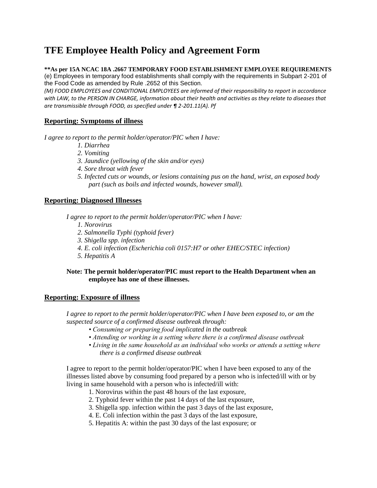# **TFE Employee Health Policy and Agreement Form**

### **\*\*As per 15A NCAC 18A .2667 TEMPORARY FOOD ESTABLISHMENT EMPLOYEE REQUIREMENTS**

(e) Employees in temporary food establishments shall comply with the requirements in Subpart 2-201 of the Food Code as amended by Rule .2652 of this Section.

*(M) FOOD EMPLOYEES and CONDITIONAL EMPLOYEES are informed of their responsibility to report in accordance with LAW, to the PERSON IN CHARGE, information about their health and activities as they relate to diseases that are transmissible through FOOD, as specified under ¶ 2-201.11(A). Pf*

### **Reporting: Symptoms of illness**

*I agree to report to the permit holder/operator/PIC when I have:* 

- *1. Diarrhea*
- *2. Vomiting*
- *3. Jaundice (yellowing of the skin and/or eyes)*
- *4. Sore throat with fever*
- *5. Infected cuts or wounds, or lesions containing pus on the hand, wrist, an exposed body part (such as boils and infected wounds, however small).*

#### **Reporting: Diagnosed Illnesses**

*I agree to report to the permit holder/operator/PIC when I have:* 

- *1. Norovirus*
- *2. Salmonella Typhi (typhoid fever)*
- *3. Shigella spp. infection*
- *4. E. coli infection (Escherichia coli 0157:H7 or other EHEC/STEC infection)*
- *5. Hepatitis A*

#### **Note: The permit holder/operator/PIC must report to the Health Department when an employee has one of these illnesses.**

#### **Reporting: Exposure of illness**

*I agree to report to the permit holder/operator/PIC when I have been exposed to, or am the suspected source of a confirmed disease outbreak through:* 

- *Consuming or preparing food implicated in the outbreak*
- *Attending or working in a setting where there is a confirmed disease outbreak*
- *Living in the same household as an individual who works or attends a setting where there is a confirmed disease outbreak*

I agree to report to the permit holder/operator/PIC when I have been exposed to any of the illnesses listed above by consuming food prepared by a person who is infected/ill with or by living in same household with a person who is infected/ill with:

- 1. Norovirus within the past 48 hours of the last exposure,
- 2. Typhoid fever within the past 14 days of the last exposure,
- 3. Shigella spp. infection within the past 3 days of the last exposure,
- 4. E. Coli infection within the past 3 days of the last exposure,
- 5. Hepatitis A: within the past 30 days of the last exposure; or